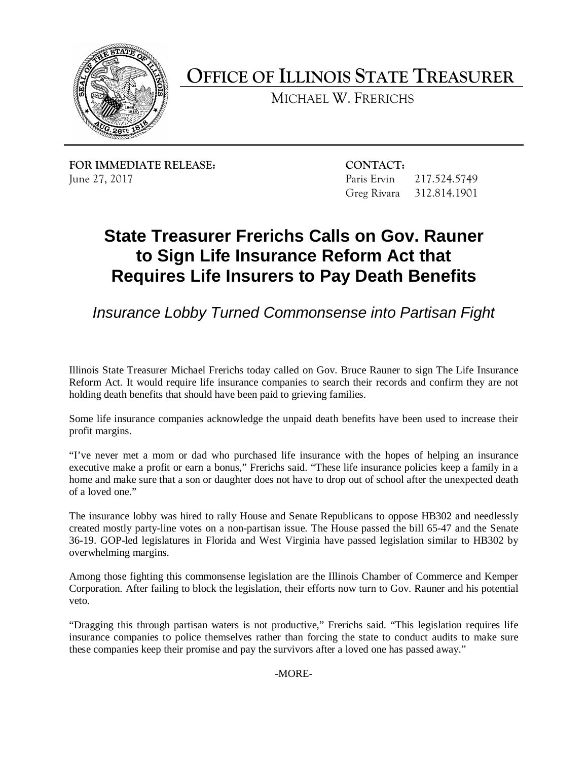

**OFFICE OF ILLINOIS STATE TREASURER** 

MICHAEL W. FRERICHS

**FOR IMMEDIATE RELEASE: CONTACT:** June 27, 2017

Paris Ervin 217.524.5749 Greg Rivara 312.814.1901

## **State Treasurer Frerichs Calls on Gov. Rauner to Sign Life Insurance Reform Act that Requires Life Insurers to Pay Death Benefits**

*Insurance Lobby Turned Commonsense into Partisan Fight* 

 Reform Act. It would require life insurance companies to search their records and confirm they are not Illinois State Treasurer Michael Frerichs today called on Gov. Bruce Rauner to sign The Life Insurance holding death benefits that should have been paid to grieving families.

Some life insurance companies acknowledge the unpaid death benefits have been used to increase their profit margins.

 "I've never met a mom or dad who purchased life insurance with the hopes of helping an insurance executive make a profit or earn a bonus," Frerichs said. "These life insurance policies keep a family in a home and make sure that a son or daughter does not have to drop out of school after the unexpected death of a loved one."

 created mostly party-line votes on a non-partisan issue. The House passed the bill 65-47 and the Senate 36-19. GOP-led legislatures in Florida and West Virginia have passed legislation similar to HB302 by The insurance lobby was hired to rally House and Senate Republicans to oppose HB302 and needlessly overwhelming margins.

 Corporation. After failing to block the legislation, their efforts now turn to Gov. Rauner and his potential Among those fighting this commonsense legislation are the Illinois Chamber of Commerce and Kemper veto.

 insurance companies to police themselves rather than forcing the state to conduct audits to make sure "Dragging this through partisan waters is not productive," Frerichs said. "This legislation requires life these companies keep their promise and pay the survivors after a loved one has passed away."

-MORE